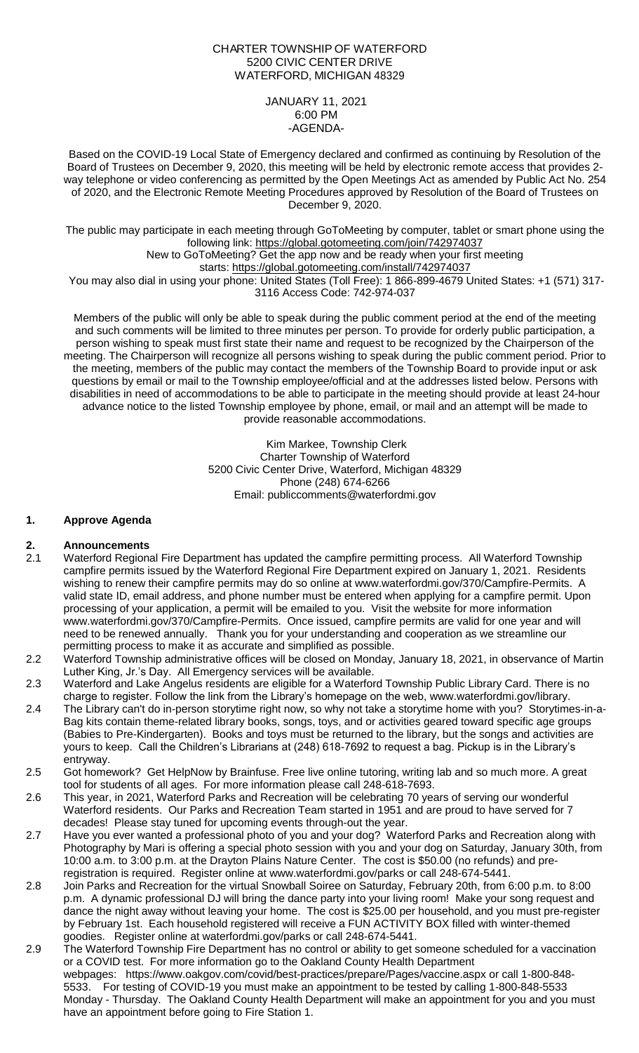## CHARTER TOWNSHIP OF WATERFORD 5200 CIVIC CENTER DRIVE WATERFORD, MICHIGAN 48329

JANUARY 11, 2021 6:00 PM -AGENDA-

Based on the COVID-19 Local State of Emergency declared and confirmed as continuing by Resolution of the Board of Trustees on December 9, 2020, this meeting will be held by electronic remote access that provides 2 way telephone or video conferencing as permitted by the Open Meetings Act as amended by Public Act No. 254 of 2020, and the Electronic Remote Meeting Procedures approved by Resolution of the Board of Trustees on December 9, 2020.

The public may participate in each meeting through GoToMeeting by computer, tablet or smart phone using the following link: <https://global.gotomeeting.com/join/742974037>

New to GoToMeeting? Get the app now and be ready when your first meeting

starts: <https://global.gotomeeting.com/install/742974037>

You may also dial in using your phone: United States (Toll Free): 1 866-899-4679 United States: +1 (571) 317-3116 Access Code: 742-974-037

Members of the public will only be able to speak during the public comment period at the end of the meeting and such comments will be limited to three minutes per person. To provide for orderly public participation, a person wishing to speak must first state their name and request to be recognized by the Chairperson of the meeting. The Chairperson will recognize all persons wishing to speak during the public comment period. Prior to the meeting, members of the public may contact the members of the Township Board to provide input or ask questions by email or mail to the Township employee/official and at the addresses listed below. Persons with disabilities in need of accommodations to be able to participate in the meeting should provide at least 24-hour advance notice to the listed Township employee by phone, email, or mail and an attempt will be made to provide reasonable accommodations.

> Kim Markee, Township Clerk Charter Township of Waterford 5200 Civic Center Drive, Waterford, Michigan 48329 Phone (248) 674-6266 Email: [publiccomments@waterfordmi.gov](mailto:publiccomments@waterfordmi.gov)

# **1. Approve Agenda**

## **2. Announcements**

- 2.1 Waterford Regional Fire Department has updated the campfire permitting process. All Waterford Township campfire permits issued by the Waterford Regional Fire Department expired on January 1, 2021. Residents wishing to renew their campfire permits may do so online at [www.waterfordmi.gov/370/Campfire-Permits.](http://www.waterfordmi.gov/370/Campfire-Permits) A valid state ID, email address, and phone number must be entered when applying for a campfire permit. Upon processing of your application, a permit will be emailed to you. Visit the website for more information [www.waterfordmi.gov/370/Campfire-Permits.](http://www.waterfordmi.gov/370/Campfire-Permits) Once issued, campfire permits are valid for one year and will need to be renewed annually. Thank you for your understanding and cooperation as we streamline our permitting process to make it as accurate and simplified as possible.
- 2.2 Waterford Township administrative offices will be closed on Monday, January 18, 2021, in observance of Martin Luther King, Jr.'s Day. All Emergency services will be available.
- 2.3 Waterford and Lake Angelus residents are eligible for a Waterford Township Public Library Card. There is no charge to register. Follow the link from the Library's homepage on the web, [www.waterfordmi.gov/library.](http://www.waterfordmi.gov/library)
- 2.4 The Library can't do in-person storytime right now, so why not take a storytime home with you? Storytimes-in-a-Bag kits contain theme-related library books, songs, toys, and or activities geared toward specific age groups (Babies to Pre-Kindergarten). Books and toys must be returned to the library, but the songs and activities are yours to keep. Call the Children's Librarians at (248) 618-7692 to request a bag. Pickup is in the Library's entryway.
- 2.5 Got homework? Get HelpNow by Brainfuse. Free live online tutoring, writing lab and so much more. A great tool for students of all ages. For more information please call 248-618-7693.
- 2.6 This year, in 2021, Waterford Parks and Recreation will be celebrating 70 years of serving our wonderful Waterford residents. Our Parks and Recreation Team started in 1951 and are proud to have served for 7 decades! Please stay tuned for upcoming events through-out the year.
- 2.7 Have you ever wanted a professional photo of you and your dog? Waterford Parks and Recreation along with Photography by Mari is offering a special photo session with you and your dog on Saturday, January 30th, from 10:00 a.m. to 3:00 p.m. at the Drayton Plains Nature Center. The cost is \$50.00 (no refunds) and preregistration is required. Register online at www.waterfordmi.gov/parks or call 248-674-5441.
- 2.8 Join Parks and Recreation for the virtual Snowball Soiree on Saturday, February 20th, from 6:00 p.m. to 8:00 p.m. A dynamic professional DJ will bring the dance party into your living room! Make your song request and dance the night away without leaving your home. The cost is \$25.00 per household, and you must pre-register by February 1st. Each household registered will receive a FUN ACTIVITY BOX filled with winter-themed goodies. Register online at waterfordmi.gov/parks or call 248-674-5441.
- 2.9 The Waterford Township Fire Department has no control or ability to get someone scheduled for a vaccination or a COVID test. For more information go to the Oakland County Health Department webpages: https://www.oakgov.com/covid/best-practices/prepare/Pages/vaccine.aspx or call 1-800-848- 5533. For testing of COVID-19 you must make an appointment to be tested by calling 1-800-848-5533 Monday - Thursday. The Oakland County Health Department will make an appointment for you and you must have an appointment before going to Fire Station 1.